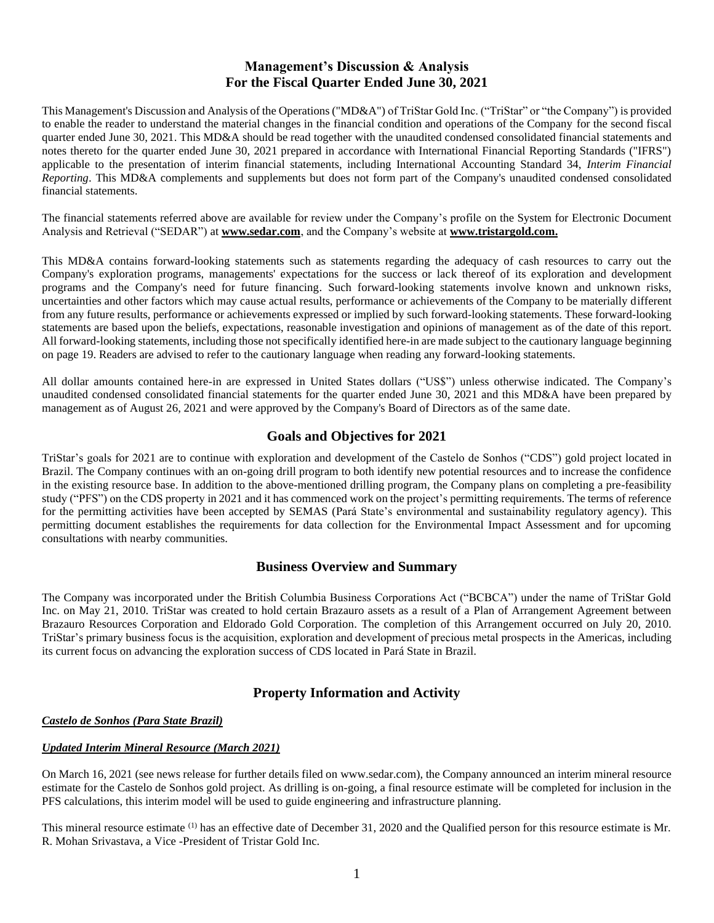# **Management's Discussion & Analysis For the Fiscal Quarter Ended June 30, 2021**

This Management's Discussion and Analysis of the Operations ("MD&A") of TriStar Gold Inc. ("TriStar" or "the Company") is provided to enable the reader to understand the material changes in the financial condition and operations of the Company for the second fiscal quarter ended June 30, 2021. This MD&A should be read together with the unaudited condensed consolidated financial statements and notes thereto for the quarter ended June 30, 2021 prepared in accordance with International Financial Reporting Standards ("IFRS") applicable to the presentation of interim financial statements, including International Accounting Standard 34, *Interim Financial Reporting*. This MD&A complements and supplements but does not form part of the Company's unaudited condensed consolidated financial statements.

The financial statements referred above are available for review under the Company's profile on the System for Electronic Document Analysis and Retrieval ("SEDAR") at **[www.sedar.com](http://www.sedar.com/)**, and the Company's website at **www.tristargold.com.**

This MD&A contains forward-looking statements such as statements regarding the adequacy of cash resources to carry out the Company's exploration programs, managements' expectations for the success or lack thereof of its exploration and development programs and the Company's need for future financing. Such forward-looking statements involve known and unknown risks, uncertainties and other factors which may cause actual results, performance or achievements of the Company to be materially different from any future results, performance or achievements expressed or implied by such forward-looking statements. These forward-looking statements are based upon the beliefs, expectations, reasonable investigation and opinions of management as of the date of this report. All forward-looking statements, including those not specifically identified here-in are made subject to the cautionary language beginning on page 19. Readers are advised to refer to the cautionary language when reading any forward-looking statements.

All dollar amounts contained here-in are expressed in United States dollars ("US\$") unless otherwise indicated. The Company's unaudited condensed consolidated financial statements for the quarter ended June 30, 2021 and this MD&A have been prepared by management as of August 26, 2021 and were approved by the Company's Board of Directors as of the same date.

# **Goals and Objectives for 2021**

TriStar's goals for 2021 are to continue with exploration and development of the Castelo de Sonhos ("CDS") gold project located in Brazil. The Company continues with an on-going drill program to both identify new potential resources and to increase the confidence in the existing resource base. In addition to the above-mentioned drilling program, the Company plans on completing a pre-feasibility study ("PFS") on the CDS property in 2021 and it has commenced work on the project's permitting requirements. The terms of reference for the permitting activities have been accepted by SEMAS (Pará State's environmental and sustainability regulatory agency). This permitting document establishes the requirements for data collection for the Environmental Impact Assessment and for upcoming consultations with nearby communities.

# **Business Overview and Summary**

The Company was incorporated under the British Columbia Business Corporations Act ("BCBCA") under the name of TriStar Gold Inc. on May 21, 2010. TriStar was created to hold certain Brazauro assets as a result of a Plan of Arrangement Agreement between Brazauro Resources Corporation and Eldorado Gold Corporation. The completion of this Arrangement occurred on July 20, 2010. TriStar's primary business focus is the acquisition, exploration and development of precious metal prospects in the Americas, including its current focus on advancing the exploration success of CDS located in Pará State in Brazil.

# **Property Information and Activity**

# *Castelo de Sonhos (Para State Brazil)*

### *Updated Interim Mineral Resource (March 2021)*

On March 16, 2021 (see news release for further details filed on www.sedar.com), the Company announced an interim mineral resource estimate for the Castelo de Sonhos gold project. As drilling is on-going, a final resource estimate will be completed for inclusion in the PFS calculations, this interim model will be used to guide engineering and infrastructure planning.

This mineral resource estimate <sup>(1)</sup> has an effective date of December 31, 2020 and the Qualified person for this resource estimate is Mr. R. Mohan Srivastava, a Vice -President of Tristar Gold Inc.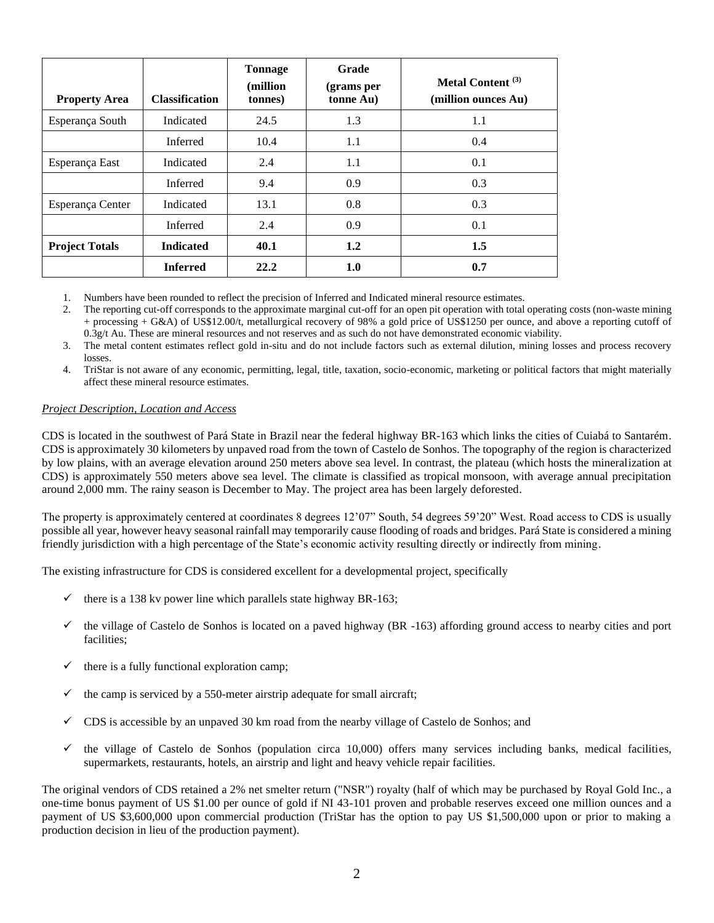| <b>Property Area</b>  | <b>Classification</b> | <b>Tonnage</b><br>(million<br>tonnes) | Grade<br>(grams per<br>tonne Au) | Metal Content <sup>(3)</sup><br>(million ounces Au) |
|-----------------------|-----------------------|---------------------------------------|----------------------------------|-----------------------------------------------------|
| Esperança South       | Indicated             | 24.5                                  | 1.3                              | 1.1                                                 |
|                       | Inferred              | 10.4                                  | 1.1                              | 0.4                                                 |
| Esperança East        | Indicated             | 2.4                                   | 1.1                              | 0.1                                                 |
|                       | Inferred              | 9.4                                   | 0.9                              | 0.3                                                 |
| Esperança Center      | Indicated             | 13.1                                  | 0.8                              | 0.3                                                 |
|                       | Inferred              | 2.4                                   | 0.9                              | 0.1                                                 |
| <b>Project Totals</b> | <b>Indicated</b>      | 40.1                                  | 1.2                              | 1.5                                                 |
|                       | <b>Inferred</b>       | 22.2                                  | 1.0                              | 0.7                                                 |

1. Numbers have been rounded to reflect the precision of Inferred and Indicated mineral resource estimates.

2. The reporting cut-off corresponds to the approximate marginal cut-off for an open pit operation with total operating costs (non-waste mining + processing + G&A) of US\$12.00/t, metallurgical recovery of 98% a gold price of US\$1250 per ounce, and above a reporting cutoff of 0.3g/t Au. These are mineral resources and not reserves and as such do not have demonstrated economic viability.

3. The metal content estimates reflect gold in-situ and do not include factors such as external dilution, mining losses and process recovery losses.

4. TriStar is not aware of any economic, permitting, legal, title, taxation, socio-economic, marketing or political factors that might materially affect these mineral resource estimates.

### *Project Description, Location and Access*

CDS is located in the southwest of Pará State in Brazil near the federal highway BR-163 which links the cities of Cuiabá to Santarém. CDS is approximately 30 kilometers by unpaved road from the town of Castelo de Sonhos. The topography of the region is characterized by low plains, with an average elevation around 250 meters above sea level. In contrast, the plateau (which hosts the mineralization at CDS) is approximately 550 meters above sea level. The climate is classified as tropical monsoon, with average annual precipitation around 2,000 mm. The rainy season is December to May. The project area has been largely deforested.

The property is approximately centered at coordinates 8 degrees 12'07" South, 54 degrees 59'20" West. Road access to CDS is usually possible all year, however heavy seasonal rainfall may temporarily cause flooding of roads and bridges. Pará State is considered a mining friendly jurisdiction with a high percentage of the State's economic activity resulting directly or indirectly from mining.

The existing infrastructure for CDS is considered excellent for a developmental project, specifically

- $\checkmark$  there is a 138 kv power line which parallels state highway BR-163;
- $\checkmark$  the village of Castelo de Sonhos is located on a paved highway (BR -163) affording ground access to nearby cities and port facilities;
- $\checkmark$  there is a fully functional exploration camp;
- $\checkmark$  the camp is serviced by a 550-meter airstrip adequate for small aircraft;
- $\checkmark$  CDS is accessible by an unpaved 30 km road from the nearby village of Castelo de Sonhos; and
- $\checkmark$  the village of Castelo de Sonhos (population circa 10,000) offers many services including banks, medical facilities, supermarkets, restaurants, hotels, an airstrip and light and heavy vehicle repair facilities.

The original vendors of CDS retained a 2% net smelter return ("NSR") royalty (half of which may be purchased by Royal Gold Inc., a one-time bonus payment of US \$1.00 per ounce of gold if NI 43-101 proven and probable reserves exceed one million ounces and a payment of US \$3,600,000 upon commercial production (TriStar has the option to pay US \$1,500,000 upon or prior to making a production decision in lieu of the production payment).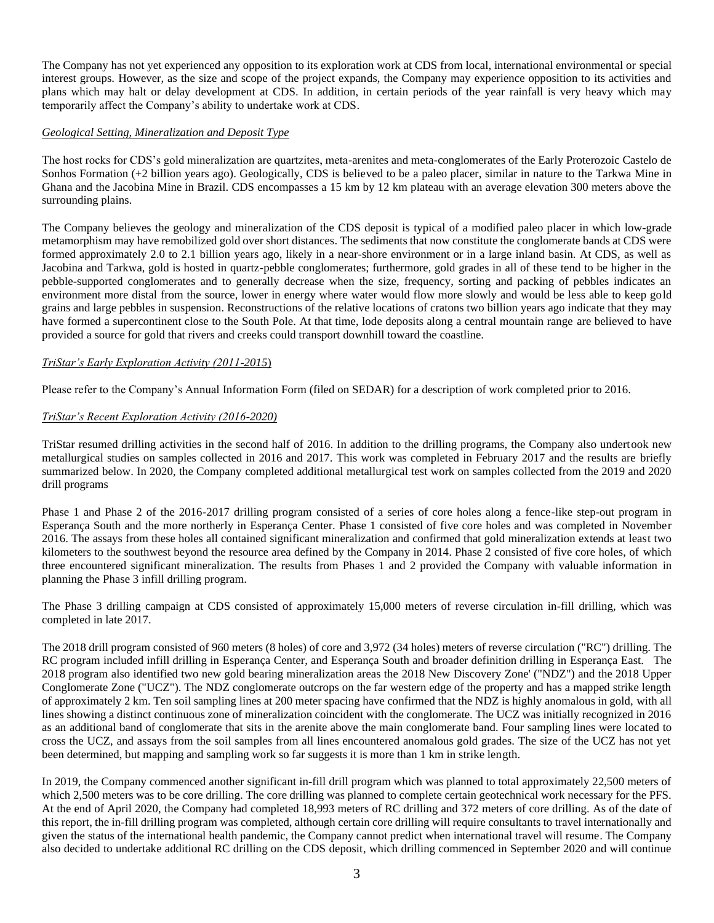The Company has not yet experienced any opposition to its exploration work at CDS from local, international environmental or special interest groups. However, as the size and scope of the project expands, the Company may experience opposition to its activities and plans which may halt or delay development at CDS. In addition, in certain periods of the year rainfall is very heavy which may temporarily affect the Company's ability to undertake work at CDS.

### *Geological Setting, Mineralization and Deposit Type*

The host rocks for CDS's gold mineralization are quartzites, meta-arenites and meta-conglomerates of the Early Proterozoic Castelo de Sonhos Formation (+2 billion years ago). Geologically, CDS is believed to be a paleo placer, similar in nature to the Tarkwa Mine in Ghana and the Jacobina Mine in Brazil. CDS encompasses a 15 km by 12 km plateau with an average elevation 300 meters above the surrounding plains.

The Company believes the geology and mineralization of the CDS deposit is typical of a modified paleo placer in which low-grade metamorphism may have remobilized gold over short distances. The sediments that now constitute the conglomerate bands at CDS were formed approximately 2.0 to 2.1 billion years ago, likely in a near-shore environment or in a large inland basin. At CDS, as well as Jacobina and Tarkwa, gold is hosted in quartz-pebble conglomerates; furthermore, gold grades in all of these tend to be higher in the pebble-supported conglomerates and to generally decrease when the size, frequency, sorting and packing of pebbles indicates an environment more distal from the source, lower in energy where water would flow more slowly and would be less able to keep gold grains and large pebbles in suspension. Reconstructions of the relative locations of cratons two billion years ago indicate that they may have formed a supercontinent close to the South Pole. At that time, lode deposits along a central mountain range are believed to have provided a source for gold that rivers and creeks could transport downhill toward the coastline.

### *TriStar's Early Exploration Activity (2011-2015*)

Please refer to the Company's Annual Information Form (filed on SEDAR) for a description of work completed prior to 2016.

### *TriStar's Recent Exploration Activity (2016-2020)*

TriStar resumed drilling activities in the second half of 2016. In addition to the drilling programs, the Company also undertook new metallurgical studies on samples collected in 2016 and 2017. This work was completed in February 2017 and the results are briefly summarized below. In 2020, the Company completed additional metallurgical test work on samples collected from the 2019 and 2020 drill programs

Phase 1 and Phase 2 of the 2016-2017 drilling program consisted of a series of core holes along a fence-like step-out program in Esperança South and the more northerly in Esperança Center. Phase 1 consisted of five core holes and was completed in November 2016. The assays from these holes all contained significant mineralization and confirmed that gold mineralization extends at least two kilometers to the southwest beyond the resource area defined by the Company in 2014. Phase 2 consisted of five core holes, of which three encountered significant mineralization. The results from Phases 1 and 2 provided the Company with valuable information in planning the Phase 3 infill drilling program.

The Phase 3 drilling campaign at CDS consisted of approximately 15,000 meters of reverse circulation in-fill drilling, which was completed in late 2017.

The 2018 drill program consisted of 960 meters (8 holes) of core and 3,972 (34 holes) meters of reverse circulation ("RC") drilling. The RC program included infill drilling in Esperança Center, and Esperança South and broader definition drilling in Esperança East. The 2018 program also identified two new gold bearing mineralization areas the 2018 New Discovery Zone' ("NDZ") and the 2018 Upper Conglomerate Zone ("UCZ"). The NDZ conglomerate outcrops on the far western edge of the property and has a mapped strike length of approximately 2 km. Ten soil sampling lines at 200 meter spacing have confirmed that the NDZ is highly anomalous in gold, with all lines showing a distinct continuous zone of mineralization coincident with the conglomerate. The UCZ was initially recognized in 2016 as an additional band of conglomerate that sits in the arenite above the main conglomerate band. Four sampling lines were located to cross the UCZ, and assays from the soil samples from all lines encountered anomalous gold grades. The size of the UCZ has not yet been determined, but mapping and sampling work so far suggests it is more than 1 km in strike length.

In 2019, the Company commenced another significant in-fill drill program which was planned to total approximately 22,500 meters of which 2,500 meters was to be core drilling. The core drilling was planned to complete certain geotechnical work necessary for the PFS. At the end of April 2020, the Company had completed 18,993 meters of RC drilling and 372 meters of core drilling. As of the date of this report, the in-fill drilling program was completed, although certain core drilling will require consultants to travel internationally and given the status of the international health pandemic, the Company cannot predict when international travel will resume. The Company also decided to undertake additional RC drilling on the CDS deposit, which drilling commenced in September 2020 and will continue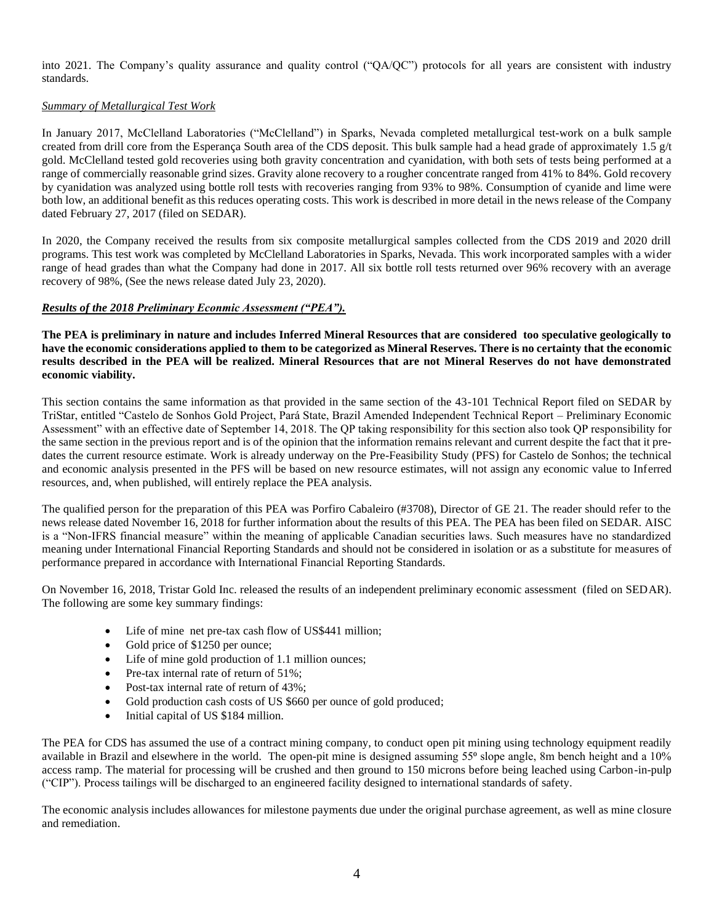into 2021. The Company's quality assurance and quality control ("QA/QC") protocols for all years are consistent with industry standards.

### *Summary of Metallurgical Test Work*

In January 2017, McClelland Laboratories ("McClelland") in Sparks, Nevada completed metallurgical test-work on a bulk sample created from drill core from the Esperança South area of the CDS deposit. This bulk sample had a head grade of approximately 1.5  $g/t$ gold. McClelland tested gold recoveries using both gravity concentration and cyanidation, with both sets of tests being performed at a range of commercially reasonable grind sizes. Gravity alone recovery to a rougher concentrate ranged from 41% to 84%. Gold recovery by cyanidation was analyzed using bottle roll tests with recoveries ranging from 93% to 98%. Consumption of cyanide and lime were both low, an additional benefit as this reduces operating costs. This work is described in more detail in the news release of the Company dated February 27, 2017 (filed on SEDAR).

In 2020, the Company received the results from six composite metallurgical samples collected from the CDS 2019 and 2020 drill programs. This test work was completed by McClelland Laboratories in Sparks, Nevada. This work incorporated samples with a wider range of head grades than what the Company had done in 2017. All six bottle roll tests returned over 96% recovery with an average recovery of 98%, (See the news release dated July 23, 2020).

### *Results of the 2018 Preliminary Econmic Assessment ("PEA").*

**The PEA is preliminary in nature and includes Inferred Mineral Resources that are considered too speculative geologically to have the economic considerations applied to them to be categorized as Mineral Reserves. There is no certainty that the economic results described in the PEA will be realized. Mineral Resources that are not Mineral Reserves do not have demonstrated economic viability.**

This section contains the same information as that provided in the same section of the 43-101 Technical Report filed on SEDAR by TriStar, entitled "Castelo de Sonhos Gold Project, Pará State, Brazil Amended Independent Technical Report – Preliminary Economic Assessment" with an effective date of September 14, 2018. The QP taking responsibility for this section also took QP responsibility for the same section in the previous report and is of the opinion that the information remains relevant and current despite the fact that it predates the current resource estimate. Work is already underway on the Pre-Feasibility Study (PFS) for Castelo de Sonhos; the technical and economic analysis presented in the PFS will be based on new resource estimates, will not assign any economic value to Inferred resources, and, when published, will entirely replace the PEA analysis.

The qualified person for the preparation of this PEA was Porfiro Cabaleiro (#3708), Director of GE 21. The reader should refer to the news release dated November 16, 2018 for further information about the results of this PEA. The PEA has been filed on SEDAR. AISC is a "Non-IFRS financial measure" within the meaning of applicable Canadian securities laws. Such measures have no standardized meaning under International Financial Reporting Standards and should not be considered in isolation or as a substitute for measures of performance prepared in accordance with International Financial Reporting Standards.

On November 16, 2018, Tristar Gold Inc. released the results of an independent preliminary economic assessment (filed on SEDAR). The following are some key summary findings:

- Life of mine net pre-tax cash flow of US\$441 million;
- Gold price of \$1250 per ounce;
- Life of mine gold production of 1.1 million ounces;
- Pre-tax internal rate of return of 51%;
- Post-tax internal rate of return of 43%;
- Gold production cash costs of US \$660 per ounce of gold produced;
- Initial capital of US \$184 million.

The PEA for CDS has assumed the use of a contract mining company, to conduct open pit mining using technology equipment readily available in Brazil and elsewhere in the world. The open-pit mine is designed assuming 55<sup>o</sup> slope angle, 8m bench height and a 10% access ramp. The material for processing will be crushed and then ground to 150 microns before being leached using Carbon-in-pulp ("CIP"). Process tailings will be discharged to an engineered facility designed to international standards of safety.

The economic analysis includes allowances for milestone payments due under the original purchase agreement, as well as mine closure and remediation.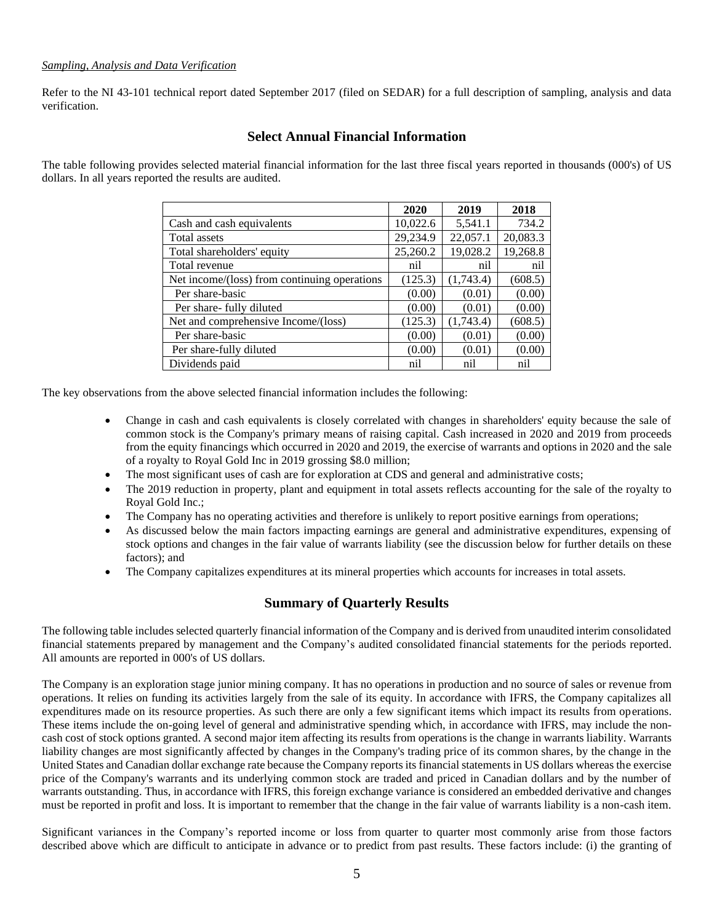### *Sampling, Analysis and Data Verification*

Refer to the NI 43-101 technical report dated September 2017 (filed on SEDAR) for a full description of sampling, analysis and data verification.

# **Select Annual Financial Information**

The table following provides selected material financial information for the last three fiscal years reported in thousands (000's) of US dollars. In all years reported the results are audited.

|                                              | 2020     | 2019      | 2018     |
|----------------------------------------------|----------|-----------|----------|
| Cash and cash equivalents                    | 10,022.6 | 5,541.1   | 734.2    |
| Total assets                                 | 29,234.9 | 22,057.1  | 20,083.3 |
| Total shareholders' equity                   | 25,260.2 | 19,028.2  | 19,268.8 |
| Total revenue                                | nil      | nil       | nil      |
| Net income/(loss) from continuing operations | (125.3)  | (1,743.4) | (608.5)  |
| Per share-basic                              | (0.00)   | (0.01)    | (0.00)   |
| Per share- fully diluted                     | (0.00)   | (0.01)    | (0.00)   |
| Net and comprehensive Income/(loss)          | (125.3)  | (1,743.4) | (608.5)  |
| Per share-basic                              | (0.00)   | (0.01)    | (0.00)   |
| Per share-fully diluted                      | (0.00)   | (0.01)    | (0.00)   |
| Dividends paid                               | nil      | nil       | nil      |

The key observations from the above selected financial information includes the following:

- Change in cash and cash equivalents is closely correlated with changes in shareholders' equity because the sale of common stock is the Company's primary means of raising capital. Cash increased in 2020 and 2019 from proceeds from the equity financings which occurred in 2020 and 2019, the exercise of warrants and options in 2020 and the sale of a royalty to Royal Gold Inc in 2019 grossing \$8.0 million;
- The most significant uses of cash are for exploration at CDS and general and administrative costs;
- The 2019 reduction in property, plant and equipment in total assets reflects accounting for the sale of the royalty to Royal Gold Inc.;
- The Company has no operating activities and therefore is unlikely to report positive earnings from operations;
- As discussed below the main factors impacting earnings are general and administrative expenditures, expensing of stock options and changes in the fair value of warrants liability (see the discussion below for further details on these factors); and
- The Company capitalizes expenditures at its mineral properties which accounts for increases in total assets.

# **Summary of Quarterly Results**

The following table includes selected quarterly financial information of the Company and is derived from unaudited interim consolidated financial statements prepared by management and the Company's audited consolidated financial statements for the periods reported. All amounts are reported in 000's of US dollars.

The Company is an exploration stage junior mining company. It has no operations in production and no source of sales or revenue from operations. It relies on funding its activities largely from the sale of its equity. In accordance with IFRS, the Company capitalizes all expenditures made on its resource properties. As such there are only a few significant items which impact its results from operations. These items include the on-going level of general and administrative spending which, in accordance with IFRS, may include the noncash cost of stock options granted. A second major item affecting its results from operations is the change in warrants liability. Warrants liability changes are most significantly affected by changes in the Company's trading price of its common shares, by the change in the United States and Canadian dollar exchange rate because the Company reports its financial statements in US dollars whereas the exercise price of the Company's warrants and its underlying common stock are traded and priced in Canadian dollars and by the number of warrants outstanding. Thus, in accordance with IFRS, this foreign exchange variance is considered an embedded derivative and changes must be reported in profit and loss. It is important to remember that the change in the fair value of warrants liability is a non-cash item.

Significant variances in the Company's reported income or loss from quarter to quarter most commonly arise from those factors described above which are difficult to anticipate in advance or to predict from past results. These factors include: (i) the granting of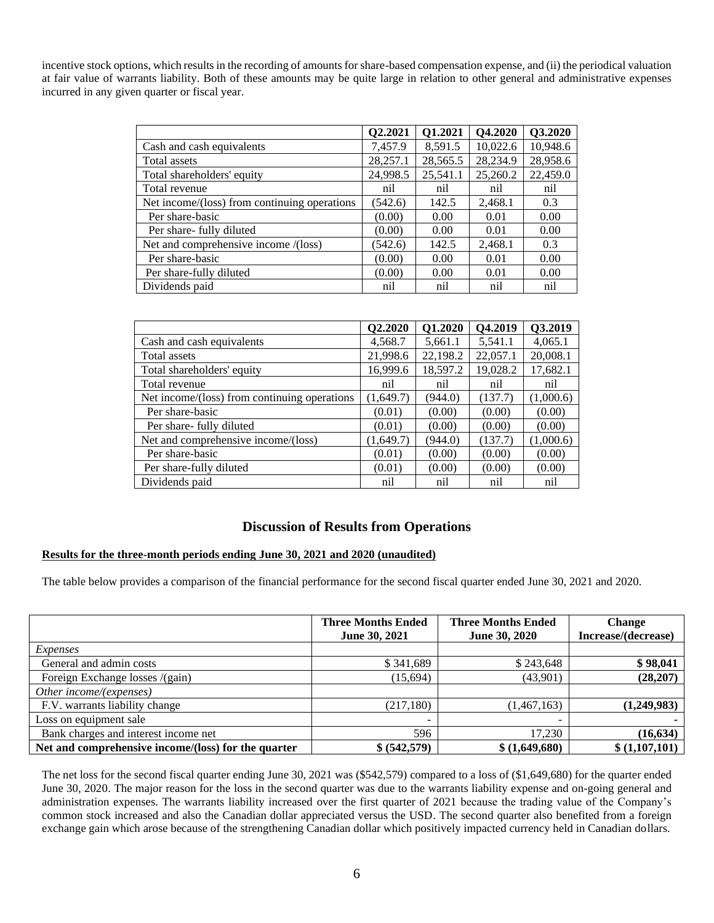incentive stock options, which results in the recording of amounts for share-based compensation expense, and (ii) the periodical valuation at fair value of warrants liability. Both of these amounts may be quite large in relation to other general and administrative expenses incurred in any given quarter or fiscal year.

|                                              | Q2.2021  | Q1.2021  | Q4.2020  | Q3.2020  |
|----------------------------------------------|----------|----------|----------|----------|
| Cash and cash equivalents                    | 7,457.9  | 8,591.5  | 10,022.6 | 10,948.6 |
| Total assets                                 | 28,257.1 | 28,565.5 | 28,234.9 | 28,958.6 |
| Total shareholders' equity                   | 24,998.5 | 25,541.1 | 25,260.2 | 22,459.0 |
| Total revenue                                | nil      | nil      | nil      | nil      |
| Net income/(loss) from continuing operations | (542.6)  | 142.5    | 2,468.1  | 0.3      |
| Per share-basic                              | (0.00)   | 0.00     | 0.01     | 0.00     |
| Per share- fully diluted                     | (0.00)   | 0.00     | 0.01     | 0.00     |
| Net and comprehensive income /(loss)         | (542.6)  | 142.5    | 2,468.1  | 0.3      |
| Per share-basic                              | (0.00)   | 0.00     | 0.01     | 0.00     |
| Per share-fully diluted                      | (0.00)   | 0.00     | 0.01     | 0.00     |
| Dividends paid                               | nil      | nil      | nil      | nil      |

|                                              | Q2.2020   | Q1.2020  | Q4.2019  | Q3.2019   |
|----------------------------------------------|-----------|----------|----------|-----------|
| Cash and cash equivalents                    | 4,568.7   | 5,661.1  | 5,541.1  | 4,065.1   |
| Total assets                                 | 21,998.6  | 22,198.2 | 22,057.1 | 20,008.1  |
| Total shareholders' equity                   | 16,999.6  | 18,597.2 | 19,028.2 | 17,682.1  |
| Total revenue                                | nil       | nil      | nil      | nil       |
| Net income/(loss) from continuing operations | (1,649.7) | (944.0)  | (137.7)  | (1,000.6) |
| Per share-basic                              | (0.01)    | (0.00)   | (0.00)   | (0.00)    |
| Per share- fully diluted                     | (0.01)    | (0.00)   | (0.00)   | (0.00)    |
| Net and comprehensive income/(loss)          | (1,649.7) | (944.0)  | (137.7)  | (1,000.6) |
| Per share-basic                              | (0.01)    | (0.00)   | (0.00)   | (0.00)    |
| Per share-fully diluted                      | (0.01)    | (0.00)   | (0.00)   | (0.00)    |
| Dividends paid                               | nil       | nil      | nil      | nil       |

# **Discussion of Results from Operations**

### **Results for the three-month periods ending June 30, 2021 and 2020 (unaudited)**

The table below provides a comparison of the financial performance for the second fiscal quarter ended June 30, 2021 and 2020.

|                                                     | <b>Three Months Ended</b><br>June 30, 2021 | <b>Three Months Ended</b><br>June 30, 2020 | <b>Change</b><br>Increase/(decrease) |
|-----------------------------------------------------|--------------------------------------------|--------------------------------------------|--------------------------------------|
| Expenses                                            |                                            |                                            |                                      |
| General and admin costs                             | \$341,689                                  | \$243,648                                  | \$98,041                             |
| Foreign Exchange losses /(gain)                     | (15,694)                                   | (43,901)                                   | (28, 207)                            |
| Other income/(expenses)                             |                                            |                                            |                                      |
| F.V. warrants liability change                      | (217, 180)                                 | (1,467,163)                                | (1,249,983)                          |
| Loss on equipment sale                              |                                            |                                            |                                      |
| Bank charges and interest income net                | 596                                        | 17.230                                     | (16, 634)                            |
| Net and comprehensive income/(loss) for the quarter | \$ (542,579)                               | \$ (1,649,680)                             | \$(1,107,101)                        |

The net loss for the second fiscal quarter ending June 30, 2021 was (\$542,579) compared to a loss of (\$1,649,680) for the quarter ended June 30, 2020. The major reason for the loss in the second quarter was due to the warrants liability expense and on-going general and administration expenses. The warrants liability increased over the first quarter of 2021 because the trading value of the Company's common stock increased and also the Canadian dollar appreciated versus the USD. The second quarter also benefited from a foreign exchange gain which arose because of the strengthening Canadian dollar which positively impacted currency held in Canadian dollars.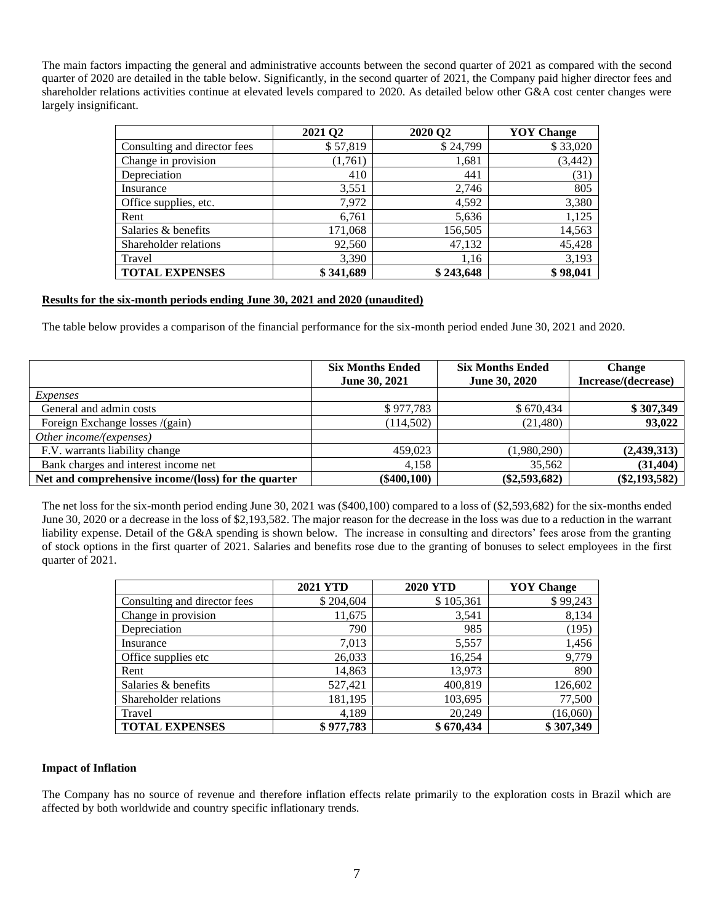The main factors impacting the general and administrative accounts between the second quarter of 2021 as compared with the second quarter of 2020 are detailed in the table below. Significantly, in the second quarter of 2021, the Company paid higher director fees and shareholder relations activities continue at elevated levels compared to 2020. As detailed below other G&A cost center changes were largely insignificant.

|                              | 2021 Q2   | 2020 Q2   | <b>YOY</b> Change |
|------------------------------|-----------|-----------|-------------------|
| Consulting and director fees | \$57,819  | \$24,799  | \$33,020          |
| Change in provision          | (1,761)   | 1,681     | (3, 442)          |
| Depreciation                 | 410       | 441       | (31)              |
| Insurance                    | 3,551     | 2,746     | 805               |
| Office supplies, etc.        | 7,972     | 4,592     | 3,380             |
| Rent                         | 6,761     | 5,636     | 1,125             |
| Salaries & benefits          | 171,068   | 156,505   | 14,563            |
| Shareholder relations        | 92,560    | 47,132    | 45,428            |
| Travel                       | 3,390     | 1,16      | 3,193             |
| <b>TOTAL EXPENSES</b>        | \$341,689 | \$243,648 | \$98,041          |

### **Results for the six-month periods ending June 30, 2021 and 2020 (unaudited)**

The table below provides a comparison of the financial performance for the six-month period ended June 30, 2021 and 2020.

|                                                     | <b>Six Months Ended</b><br>June 30, 2021 | <b>Six Months Ended</b><br>June 30, 2020 | <b>Change</b><br>Increase/(decrease) |
|-----------------------------------------------------|------------------------------------------|------------------------------------------|--------------------------------------|
| Expenses                                            |                                          |                                          |                                      |
| General and admin costs                             | \$977,783                                | \$670.434                                | \$307,349                            |
| Foreign Exchange losses /(gain)                     | (114, 502)                               | (21,480)                                 | 93,022                               |
| Other income/(expenses)                             |                                          |                                          |                                      |
| F.V. warrants liability change                      | 459,023                                  | (1,980,290)                              | (2,439,313)                          |
| Bank charges and interest income net                | 4.158                                    | 35.562                                   | (31, 404)                            |
| Net and comprehensive income/(loss) for the quarter | $(\$400, 100)$                           | $(\$2,593,682)$                          | $(\$2,193,582)$                      |

The net loss for the six-month period ending June 30, 2021 was (\$400,100) compared to a loss of (\$2,593,682) for the six-months ended June 30, 2020 or a decrease in the loss of \$2,193,582. The major reason for the decrease in the loss was due to a reduction in the warrant liability expense. Detail of the G&A spending is shown below. The increase in consulting and directors' fees arose from the granting of stock options in the first quarter of 2021. Salaries and benefits rose due to the granting of bonuses to select employees in the first quarter of 2021.

|                              | <b>2021 YTD</b> | <b>2020 YTD</b> | <b>YOY</b> Change |
|------------------------------|-----------------|-----------------|-------------------|
| Consulting and director fees | \$204,604       | \$105,361       | \$99,243          |
| Change in provision          | 11,675          | 3,541           | 8,134             |
| Depreciation                 | 790             | 985             | (195)             |
| Insurance                    | 7,013           | 5,557           | 1,456             |
| Office supplies etc.         | 26,033          | 16,254          | 9,779             |
| Rent                         | 14,863          | 13.973          | 890               |
| Salaries & benefits          | 527,421         | 400,819         | 126,602           |
| Shareholder relations        | 181,195         | 103,695         | 77,500            |
| Travel                       | 4.189           | 20,249          | (16,060)          |
| <b>TOTAL EXPENSES</b>        | \$977,783       | \$670,434       | \$307,349         |

### **Impact of Inflation**

The Company has no source of revenue and therefore inflation effects relate primarily to the exploration costs in Brazil which are affected by both worldwide and country specific inflationary trends.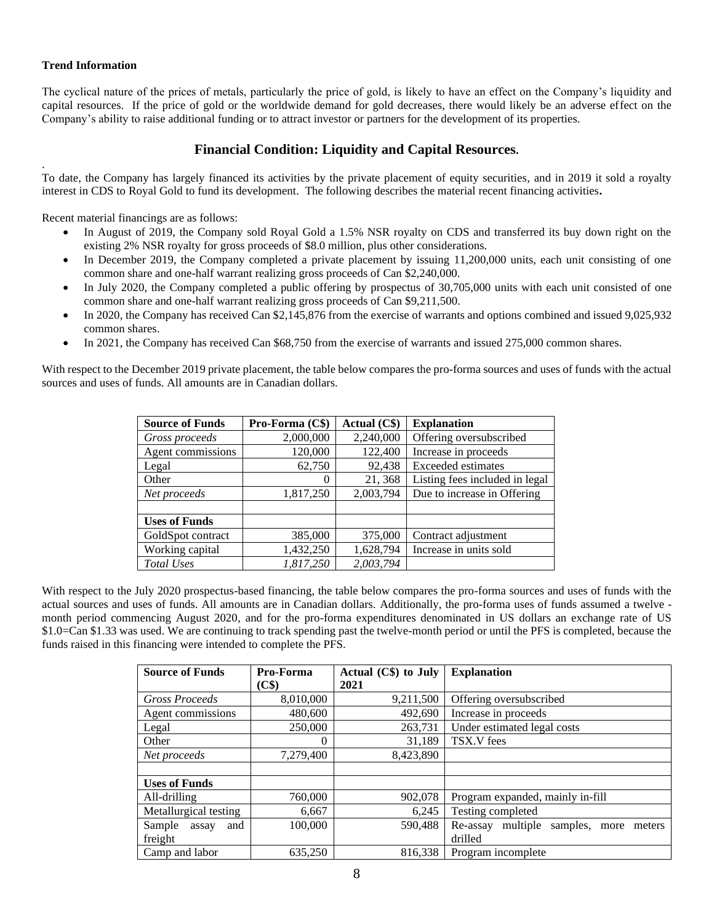### **Trend Information**

.

The cyclical nature of the prices of metals, particularly the price of gold, is likely to have an effect on the Company's liquidity and capital resources. If the price of gold or the worldwide demand for gold decreases, there would likely be an adverse effect on the Company's ability to raise additional funding or to attract investor or partners for the development of its properties.

# **Financial Condition: Liquidity and Capital Resources.**

To date, the Company has largely financed its activities by the private placement of equity securities, and in 2019 it sold a royalty interest in CDS to Royal Gold to fund its development. The following describes the material recent financing activities**.**

Recent material financings are as follows:

- In August of 2019, the Company sold Royal Gold a 1.5% NSR royalty on CDS and transferred its buy down right on the existing 2% NSR royalty for gross proceeds of \$8.0 million, plus other considerations.
- In December 2019, the Company completed a private placement by issuing 11,200,000 units, each unit consisting of one common share and one-half warrant realizing gross proceeds of Can \$2,240,000.
- In July 2020, the Company completed a public offering by prospectus of 30,705,000 units with each unit consisted of one common share and one-half warrant realizing gross proceeds of Can \$9,211,500.
- In 2020, the Company has received Can \$2,145,876 from the exercise of warrants and options combined and issued 9,025,932 common shares.
- In 2021, the Company has received Can \$68,750 from the exercise of warrants and issued 275,000 common shares.

With respect to the December 2019 private placement, the table below compares the pro-forma sources and uses of funds with the actual sources and uses of funds. All amounts are in Canadian dollars.

| <b>Source of Funds</b> | Pro-Forma (C\$) | Actual (C\$) | <b>Explanation</b>             |
|------------------------|-----------------|--------------|--------------------------------|
| Gross proceeds         | 2,000,000       | 2,240,000    | Offering oversubscribed        |
| Agent commissions      | 120,000         | 122,400      | Increase in proceeds           |
| Legal                  | 62,750          | 92,438       | Exceeded estimates             |
| Other                  | $\theta$        | 21,368       | Listing fees included in legal |
| Net proceeds           | 1,817,250       | 2,003,794    | Due to increase in Offering    |
|                        |                 |              |                                |
| <b>Uses of Funds</b>   |                 |              |                                |
| GoldSpot contract      | 385,000         | 375,000      | Contract adjustment            |
| Working capital        | 1,432,250       | 1,628,794    | Increase in units sold         |
| Total Uses             | 1.817.250       | 2,003,794    |                                |

With respect to the July 2020 prospectus-based financing, the table below compares the pro-forma sources and uses of funds with the actual sources and uses of funds. All amounts are in Canadian dollars. Additionally, the pro-forma uses of funds assumed a twelve month period commencing August 2020, and for the pro-forma expenditures denominated in US dollars an exchange rate of US \$1.0=Can \$1.33 was used. We are continuing to track spending past the twelve-month period or until the PFS is completed, because the funds raised in this financing were intended to complete the PFS.

| <b>Source of Funds</b> | Pro-Forma | Actual $(C\$ ) to July | <b>Explanation</b>                                 |
|------------------------|-----------|------------------------|----------------------------------------------------|
|                        | (C\$)     | 2021                   |                                                    |
| <b>Gross Proceeds</b>  | 8,010,000 | 9,211,500              | Offering oversubscribed                            |
| Agent commissions      | 480,600   | 492,690                | Increase in proceeds                               |
| Legal                  | 250,000   | 263,731                | Under estimated legal costs                        |
| Other                  | 0         | 31.189                 | TSX.V fees                                         |
| Net proceeds           | 7,279,400 | 8,423,890              |                                                    |
|                        |           |                        |                                                    |
| <b>Uses of Funds</b>   |           |                        |                                                    |
| All-drilling           | 760,000   | 902,078                | Program expanded, mainly in-fill                   |
| Metallurgical testing  | 6,667     | 6,245                  | Testing completed                                  |
| Sample<br>and<br>assay | 100,000   | 590,488                | multiple<br>samples,<br>Re-assay<br>meters<br>more |
| freight                |           |                        | drilled                                            |
| Camp and labor         | 635,250   | 816,338                | Program incomplete                                 |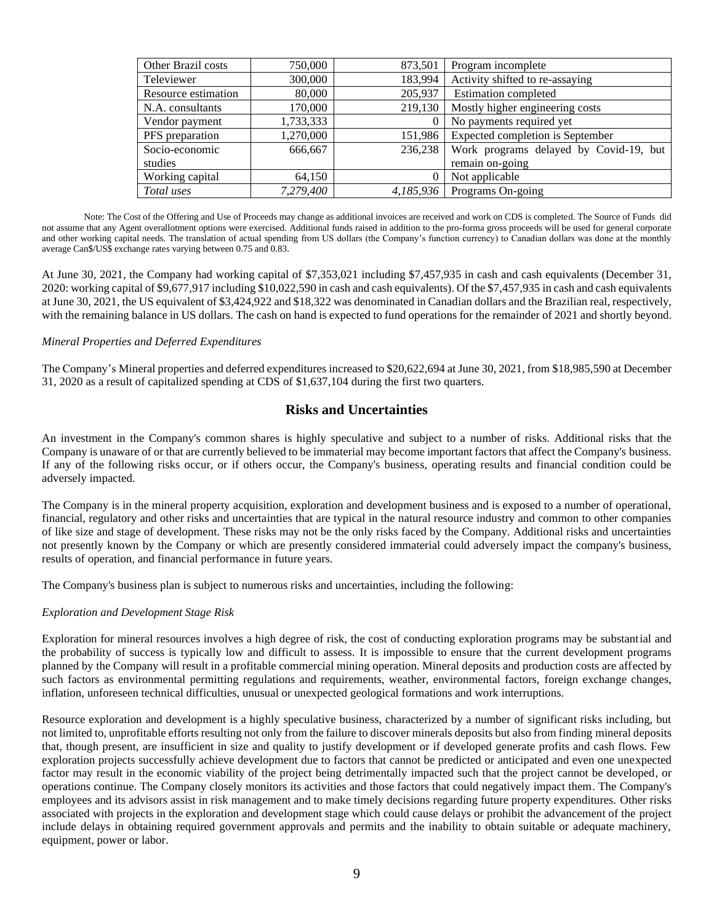| <b>Other Brazil costs</b> | 750,000   | 873,501   | Program incomplete                     |
|---------------------------|-----------|-----------|----------------------------------------|
| Televiewer                | 300,000   | 183,994   | Activity shifted to re-assaying        |
| Resource estimation       | 80,000    | 205,937   | <b>Estimation</b> completed            |
| N.A. consultants          | 170,000   | 219,130   | Mostly higher engineering costs        |
| Vendor payment            | 1,733,333 |           | No payments required yet               |
| PFS preparation           | 1,270,000 | 151,986   | Expected completion is September       |
| Socio-economic            | 666,667   | 236,238   | Work programs delayed by Covid-19, but |
| studies                   |           |           | remain on-going                        |
| Working capital           | 64,150    |           | Not applicable                         |
| Total uses                | 7,279,400 | 4.185.936 | Programs On-going                      |

Note: The Cost of the Offering and Use of Proceeds may change as additional invoices are received and work on CDS is completed. The Source of Funds did not assume that any Agent overallotment options were exercised. Additional funds raised in addition to the pro-forma gross proceeds will be used for general corporate and other working capital needs. The translation of actual spending from US dollars (the Company's function currency) to Canadian dollars was done at the monthly average Can\$/US\$ exchange rates varying between 0.75 and 0.83.

At June 30, 2021, the Company had working capital of \$7,353,021 including \$7,457,935 in cash and cash equivalents (December 31, 2020: working capital of \$9,677,917 including \$10,022,590 in cash and cash equivalents). Of the \$7,457,935 in cash and cash equivalents at June 30, 2021, the US equivalent of \$3,424,922 and \$18,322 was denominated in Canadian dollars and the Brazilian real, respectively, with the remaining balance in US dollars. The cash on hand is expected to fund operations for the remainder of 2021 and shortly beyond.

### *Mineral Properties and Deferred Expenditures*

The Company's Mineral properties and deferred expenditures increased to \$20,622,694 at June 30, 2021, from \$18,985,590 at December 31, 2020 as a result of capitalized spending at CDS of \$1,637,104 during the first two quarters.

# **Risks and Uncertainties**

An investment in the Company's common shares is highly speculative and subject to a number of risks. Additional risks that the Company is unaware of or that are currently believed to be immaterial may become important factors that affect the Company's business. If any of the following risks occur, or if others occur, the Company's business, operating results and financial condition could be adversely impacted.

The Company is in the mineral property acquisition, exploration and development business and is exposed to a number of operational, financial, regulatory and other risks and uncertainties that are typical in the natural resource industry and common to other companies of like size and stage of development. These risks may not be the only risks faced by the Company. Additional risks and uncertainties not presently known by the Company or which are presently considered immaterial could adversely impact the company's business, results of operation, and financial performance in future years.

The Company's business plan is subject to numerous risks and uncertainties, including the following:

### *Exploration and Development Stage Risk*

Exploration for mineral resources involves a high degree of risk, the cost of conducting exploration programs may be substantial and the probability of success is typically low and difficult to assess. It is impossible to ensure that the current development programs planned by the Company will result in a profitable commercial mining operation. Mineral deposits and production costs are affected by such factors as environmental permitting regulations and requirements, weather, environmental factors, foreign exchange changes, inflation, unforeseen technical difficulties, unusual or unexpected geological formations and work interruptions.

Resource exploration and development is a highly speculative business, characterized by a number of significant risks including, but not limited to, unprofitable efforts resulting not only from the failure to discover minerals deposits but also from finding mineral deposits that, though present, are insufficient in size and quality to justify development or if developed generate profits and cash flows. Few exploration projects successfully achieve development due to factors that cannot be predicted or anticipated and even one unexpected factor may result in the economic viability of the project being detrimentally impacted such that the project cannot be developed, or operations continue. The Company closely monitors its activities and those factors that could negatively impact them. The Company's employees and its advisors assist in risk management and to make timely decisions regarding future property expenditures. Other risks associated with projects in the exploration and development stage which could cause delays or prohibit the advancement of the project include delays in obtaining required government approvals and permits and the inability to obtain suitable or adequate machinery, equipment, power or labor.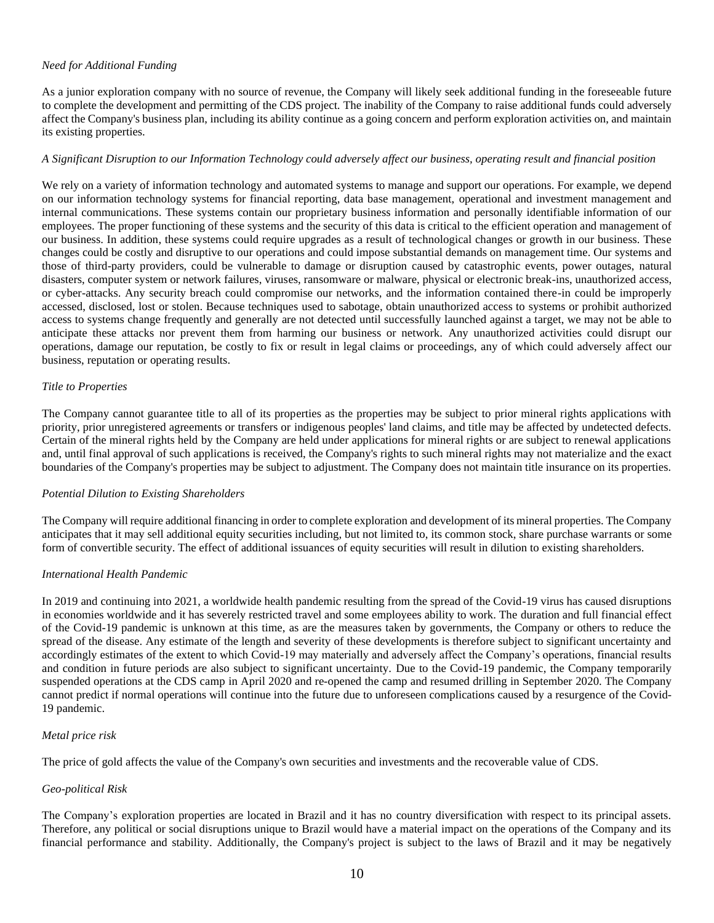### *Need for Additional Funding*

As a junior exploration company with no source of revenue, the Company will likely seek additional funding in the foreseeable future to complete the development and permitting of the CDS project. The inability of the Company to raise additional funds could adversely affect the Company's business plan, including its ability continue as a going concern and perform exploration activities on, and maintain its existing properties.

### *A Significant Disruption to our Information Technology could adversely affect our business, operating result and financial position*

We rely on a variety of information technology and automated systems to manage and support our operations. For example, we depend on our information technology systems for financial reporting, data base management, operational and investment management and internal communications. These systems contain our proprietary business information and personally identifiable information of our employees. The proper functioning of these systems and the security of this data is critical to the efficient operation and management of our business. In addition, these systems could require upgrades as a result of technological changes or growth in our business. These changes could be costly and disruptive to our operations and could impose substantial demands on management time. Our systems and those of third-party providers, could be vulnerable to damage or disruption caused by catastrophic events, power outages, natural disasters, computer system or network failures, viruses, ransomware or malware, physical or electronic break-ins, unauthorized access, or cyber-attacks. Any security breach could compromise our networks, and the information contained there-in could be improperly accessed, disclosed, lost or stolen. Because techniques used to sabotage, obtain unauthorized access to systems or prohibit authorized access to systems change frequently and generally are not detected until successfully launched against a target, we may not be able to anticipate these attacks nor prevent them from harming our business or network. Any unauthorized activities could disrupt our operations, damage our reputation, be costly to fix or result in legal claims or proceedings, any of which could adversely affect our business, reputation or operating results.

### *Title to Properties*

The Company cannot guarantee title to all of its properties as the properties may be subject to prior mineral rights applications with priority, prior unregistered agreements or transfers or indigenous peoples' land claims, and title may be affected by undetected defects. Certain of the mineral rights held by the Company are held under applications for mineral rights or are subject to renewal applications and, until final approval of such applications is received, the Company's rights to such mineral rights may not materialize and the exact boundaries of the Company's properties may be subject to adjustment. The Company does not maintain title insurance on its properties.

### *Potential Dilution to Existing Shareholders*

The Company will require additional financing in order to complete exploration and development of its mineral properties. The Company anticipates that it may sell additional equity securities including, but not limited to, its common stock, share purchase warrants or some form of convertible security. The effect of additional issuances of equity securities will result in dilution to existing shareholders.

### *International Health Pandemic*

In 2019 and continuing into 2021, a worldwide health pandemic resulting from the spread of the Covid-19 virus has caused disruptions in economies worldwide and it has severely restricted travel and some employees ability to work. The duration and full financial effect of the Covid-19 pandemic is unknown at this time, as are the measures taken by governments, the Company or others to reduce the spread of the disease. Any estimate of the length and severity of these developments is therefore subject to significant uncertainty and accordingly estimates of the extent to which Covid-19 may materially and adversely affect the Company's operations, financial results and condition in future periods are also subject to significant uncertainty. Due to the Covid-19 pandemic, the Company temporarily suspended operations at the CDS camp in April 2020 and re-opened the camp and resumed drilling in September 2020. The Company cannot predict if normal operations will continue into the future due to unforeseen complications caused by a resurgence of the Covid-19 pandemic.

### *Metal price risk*

The price of gold affects the value of the Company's own securities and investments and the recoverable value of CDS.

### *Geo-political Risk*

The Company's exploration properties are located in Brazil and it has no country diversification with respect to its principal assets. Therefore, any political or social disruptions unique to Brazil would have a material impact on the operations of the Company and its financial performance and stability. Additionally, the Company's project is subject to the laws of Brazil and it may be negatively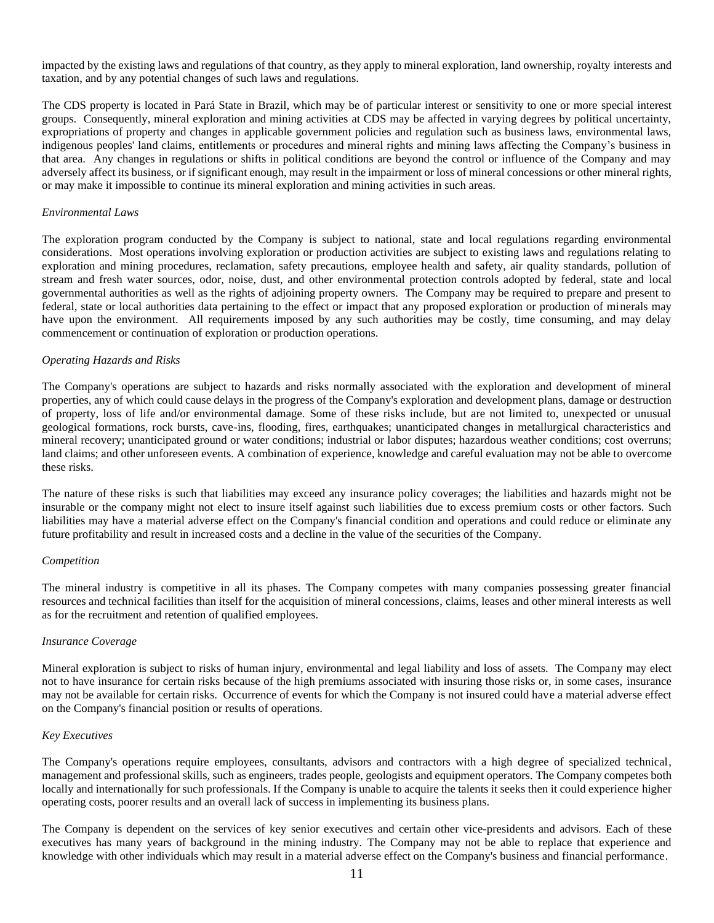impacted by the existing laws and regulations of that country, as they apply to mineral exploration, land ownership, royalty interests and taxation, and by any potential changes of such laws and regulations.

The CDS property is located in Pará State in Brazil, which may be of particular interest or sensitivity to one or more special interest groups. Consequently, mineral exploration and mining activities at CDS may be affected in varying degrees by political uncertainty, expropriations of property and changes in applicable government policies and regulation such as business laws, environmental laws, indigenous peoples' land claims, entitlements or procedures and mineral rights and mining laws affecting the Company's business in that area. Any changes in regulations or shifts in political conditions are beyond the control or influence of the Company and may adversely affect its business, or if significant enough, may result in the impairment or loss of mineral concessions or other mineral rights, or may make it impossible to continue its mineral exploration and mining activities in such areas.

### *Environmental Laws*

The exploration program conducted by the Company is subject to national, state and local regulations regarding environmental considerations. Most operations involving exploration or production activities are subject to existing laws and regulations relating to exploration and mining procedures, reclamation, safety precautions, employee health and safety, air quality standards, pollution of stream and fresh water sources, odor, noise, dust, and other environmental protection controls adopted by federal, state and local governmental authorities as well as the rights of adjoining property owners. The Company may be required to prepare and present to federal, state or local authorities data pertaining to the effect or impact that any proposed exploration or production of minerals may have upon the environment. All requirements imposed by any such authorities may be costly, time consuming, and may delay commencement or continuation of exploration or production operations.

### *Operating Hazards and Risks*

The Company's operations are subject to hazards and risks normally associated with the exploration and development of mineral properties, any of which could cause delays in the progress of the Company's exploration and development plans, damage or destruction of property, loss of life and/or environmental damage. Some of these risks include, but are not limited to, unexpected or unusual geological formations, rock bursts, cave-ins, flooding, fires, earthquakes; unanticipated changes in metallurgical characteristics and mineral recovery; unanticipated ground or water conditions; industrial or labor disputes; hazardous weather conditions; cost overruns; land claims; and other unforeseen events. A combination of experience, knowledge and careful evaluation may not be able to overcome these risks.

The nature of these risks is such that liabilities may exceed any insurance policy coverages; the liabilities and hazards might not be insurable or the company might not elect to insure itself against such liabilities due to excess premium costs or other factors. Such liabilities may have a material adverse effect on the Company's financial condition and operations and could reduce or eliminate any future profitability and result in increased costs and a decline in the value of the securities of the Company.

#### *Competition*

The mineral industry is competitive in all its phases. The Company competes with many companies possessing greater financial resources and technical facilities than itself for the acquisition of mineral concessions, claims, leases and other mineral interests as well as for the recruitment and retention of qualified employees.

#### *Insurance Coverage*

Mineral exploration is subject to risks of human injury, environmental and legal liability and loss of assets. The Company may elect not to have insurance for certain risks because of the high premiums associated with insuring those risks or, in some cases, insurance may not be available for certain risks. Occurrence of events for which the Company is not insured could have a material adverse effect on the Company's financial position or results of operations.

#### *Key Executives*

The Company's operations require employees, consultants, advisors and contractors with a high degree of specialized technical, management and professional skills, such as engineers, trades people, geologists and equipment operators. The Company competes both locally and internationally for such professionals. If the Company is unable to acquire the talents it seeks then it could experience higher operating costs, poorer results and an overall lack of success in implementing its business plans.

The Company is dependent on the services of key senior executives and certain other vice-presidents and advisors. Each of these executives has many years of background in the mining industry. The Company may not be able to replace that experience and knowledge with other individuals which may result in a material adverse effect on the Company's business and financial performance.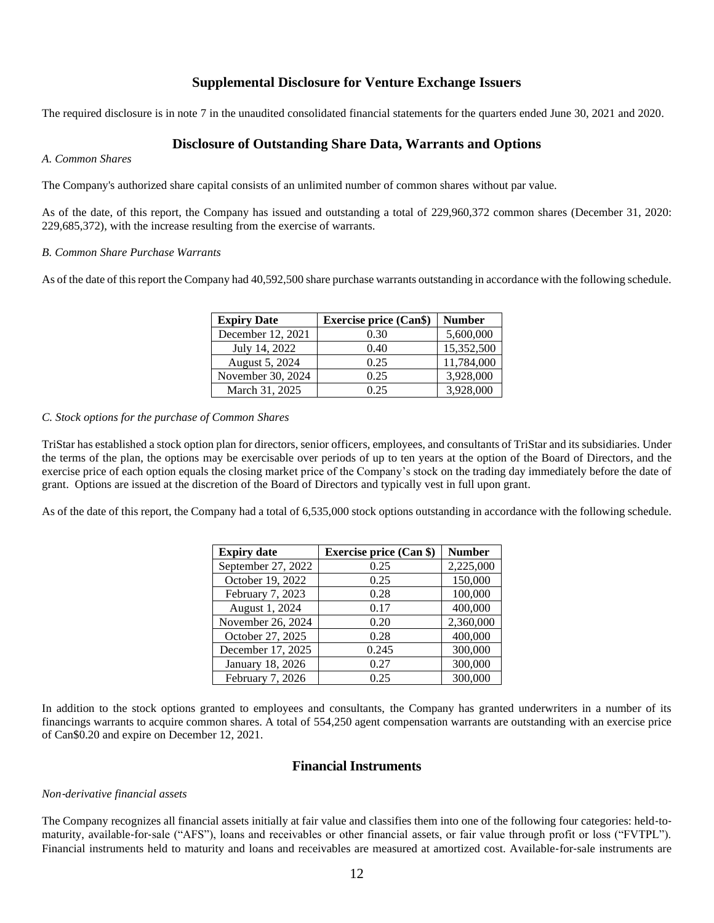# **Supplemental Disclosure for Venture Exchange Issuers**

The required disclosure is in note 7 in the unaudited consolidated financial statements for the quarters ended June 30, 2021 and 2020.

# **Disclosure of Outstanding Share Data, Warrants and Options**

### *A. Common Shares*

The Company's authorized share capital consists of an unlimited number of common shares without par value.

As of the date, of this report, the Company has issued and outstanding a total of 229,960,372 common shares (December 31, 2020: 229,685,372), with the increase resulting from the exercise of warrants.

### *B. Common Share Purchase Warrants*

As of the date of this report the Company had 40,592,500 share purchase warrants outstanding in accordance with the following schedule.

| <b>Expiry Date</b> | <b>Exercise price (Can\$)</b> | <b>Number</b> |
|--------------------|-------------------------------|---------------|
| December 12, 2021  | 0.30                          | 5,600,000     |
| July 14, 2022      | 0.40                          | 15,352,500    |
| August 5, 2024     | 0.25                          | 11,784,000    |
| November 30, 2024  | 0.25                          | 3,928,000     |
| March 31, 2025     | 0.25                          | 3,928,000     |

### *C. Stock options for the purchase of Common Shares*

TriStar has established a stock option plan for directors, senior officers, employees, and consultants of TriStar and its subsidiaries. Under the terms of the plan, the options may be exercisable over periods of up to ten years at the option of the Board of Directors, and the exercise price of each option equals the closing market price of the Company's stock on the trading day immediately before the date of grant. Options are issued at the discretion of the Board of Directors and typically vest in full upon grant.

As of the date of this report, the Company had a total of 6,535,000 stock options outstanding in accordance with the following schedule.

| <b>Expiry date</b> | <b>Exercise price (Can \$)</b> | <b>Number</b> |
|--------------------|--------------------------------|---------------|
| September 27, 2022 | 0.25                           | 2,225,000     |
| October 19, 2022   | 0.25                           | 150,000       |
| February 7, 2023   | 0.28                           | 100,000       |
| August 1, 2024     | 0.17                           | 400,000       |
| November 26, 2024  | 0.20                           | 2,360,000     |
| October 27, 2025   | 0.28                           | 400,000       |
| December 17, 2025  | 0.245                          | 300,000       |
| January 18, 2026   | 0.27                           | 300,000       |
| February 7, 2026   | 0.25                           | 300,000       |

In addition to the stock options granted to employees and consultants, the Company has granted underwriters in a number of its financings warrants to acquire common shares. A total of 554,250 agent compensation warrants are outstanding with an exercise price of Can\$0.20 and expire on December 12, 2021.

# **Financial Instruments**

### *Non*‐*derivative financial assets*

The Company recognizes all financial assets initially at fair value and classifies them into one of the following four categories: held-tomaturity, available-for-sale ("AFS"), loans and receivables or other financial assets, or fair value through profit or loss ("FVTPL"). Financial instruments held to maturity and loans and receivables are measured at amortized cost. Available-for-sale instruments are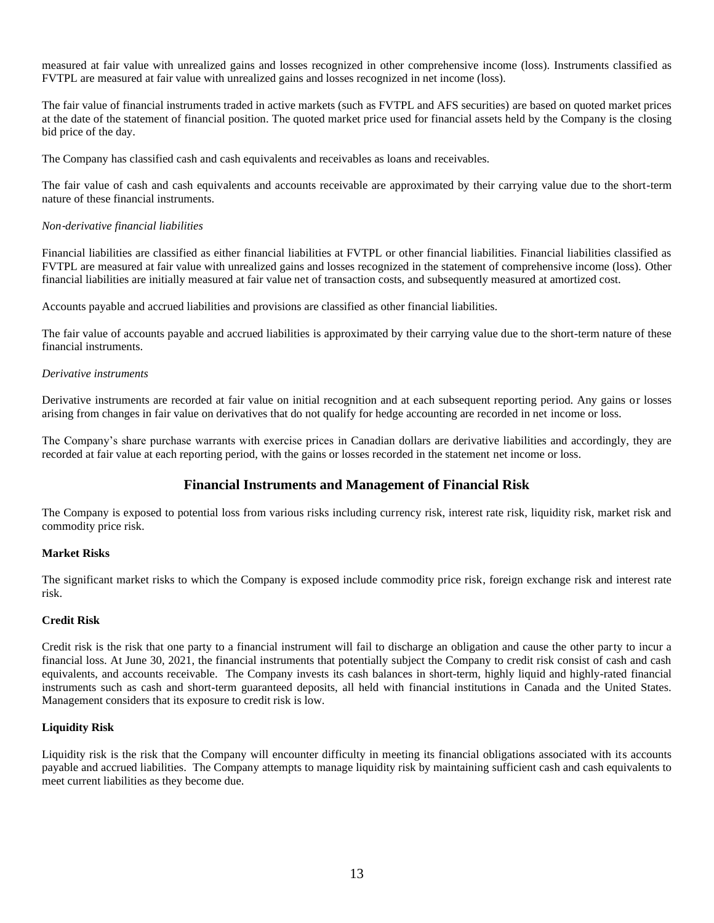measured at fair value with unrealized gains and losses recognized in other comprehensive income (loss). Instruments classified as FVTPL are measured at fair value with unrealized gains and losses recognized in net income (loss).

The fair value of financial instruments traded in active markets (such as FVTPL and AFS securities) are based on quoted market prices at the date of the statement of financial position. The quoted market price used for financial assets held by the Company is the closing bid price of the day.

The Company has classified cash and cash equivalents and receivables as loans and receivables.

The fair value of cash and cash equivalents and accounts receivable are approximated by their carrying value due to the short-term nature of these financial instruments.

### *Non*‐*derivative financial liabilities*

Financial liabilities are classified as either financial liabilities at FVTPL or other financial liabilities. Financial liabilities classified as FVTPL are measured at fair value with unrealized gains and losses recognized in the statement of comprehensive income (loss). Other financial liabilities are initially measured at fair value net of transaction costs, and subsequently measured at amortized cost.

Accounts payable and accrued liabilities and provisions are classified as other financial liabilities.

The fair value of accounts payable and accrued liabilities is approximated by their carrying value due to the short-term nature of these financial instruments.

### *Derivative instruments*

Derivative instruments are recorded at fair value on initial recognition and at each subsequent reporting period. Any gains or losses arising from changes in fair value on derivatives that do not qualify for hedge accounting are recorded in net income or loss.

The Company's share purchase warrants with exercise prices in Canadian dollars are derivative liabilities and accordingly, they are recorded at fair value at each reporting period, with the gains or losses recorded in the statement net income or loss.

# **Financial Instruments and Management of Financial Risk**

The Company is exposed to potential loss from various risks including currency risk, interest rate risk, liquidity risk, market risk and commodity price risk.

### **Market Risks**

The significant market risks to which the Company is exposed include commodity price risk, foreign exchange risk and interest rate risk.

### **Credit Risk**

Credit risk is the risk that one party to a financial instrument will fail to discharge an obligation and cause the other party to incur a financial loss. At June 30, 2021, the financial instruments that potentially subject the Company to credit risk consist of cash and cash equivalents, and accounts receivable. The Company invests its cash balances in short-term, highly liquid and highly-rated financial instruments such as cash and short-term guaranteed deposits, all held with financial institutions in Canada and the United States. Management considers that its exposure to credit risk is low.

### **Liquidity Risk**

Liquidity risk is the risk that the Company will encounter difficulty in meeting its financial obligations associated with its accounts payable and accrued liabilities. The Company attempts to manage liquidity risk by maintaining sufficient cash and cash equivalents to meet current liabilities as they become due.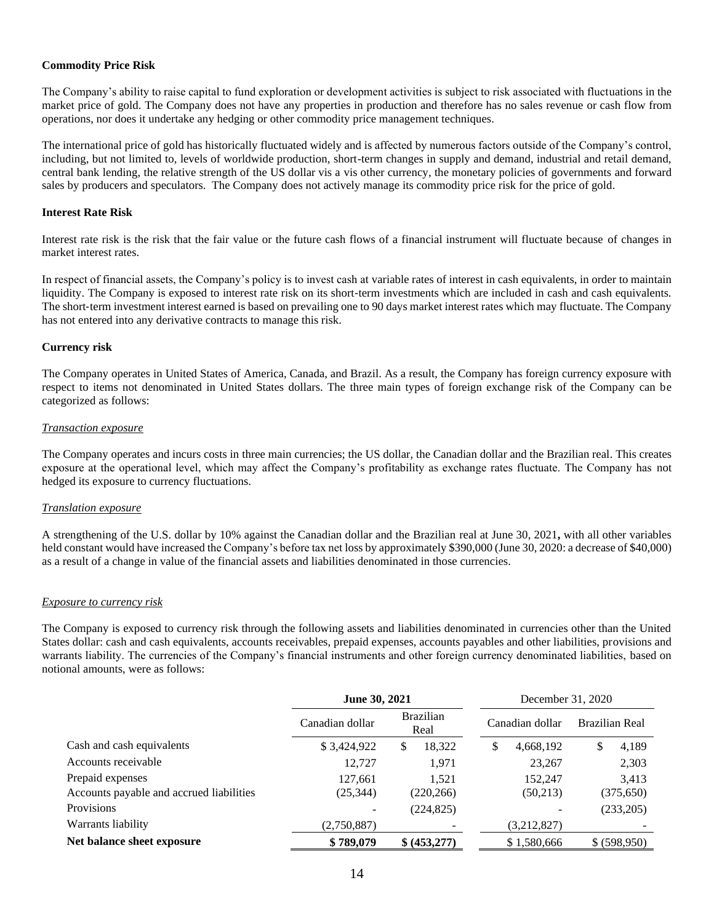### **Commodity Price Risk**

The Company's ability to raise capital to fund exploration or development activities is subject to risk associated with fluctuations in the market price of gold. The Company does not have any properties in production and therefore has no sales revenue or cash flow from operations, nor does it undertake any hedging or other commodity price management techniques.

The international price of gold has historically fluctuated widely and is affected by numerous factors outside of the Company's control, including, but not limited to, levels of worldwide production, short-term changes in supply and demand, industrial and retail demand, central bank lending, the relative strength of the US dollar vis a vis other currency, the monetary policies of governments and forward sales by producers and speculators. The Company does not actively manage its commodity price risk for the price of gold.

### **Interest Rate Risk**

Interest rate risk is the risk that the fair value or the future cash flows of a financial instrument will fluctuate because of changes in market interest rates.

In respect of financial assets, the Company's policy is to invest cash at variable rates of interest in cash equivalents, in order to maintain liquidity. The Company is exposed to interest rate risk on its short-term investments which are included in cash and cash equivalents. The short-term investment interest earned is based on prevailing one to 90 days market interest rates which may fluctuate. The Company has not entered into any derivative contracts to manage this risk.

### **Currency risk**

The Company operates in United States of America, Canada, and Brazil. As a result, the Company has foreign currency exposure with respect to items not denominated in United States dollars. The three main types of foreign exchange risk of the Company can be categorized as follows:

### *Transaction exposure*

The Company operates and incurs costs in three main currencies; the US dollar, the Canadian dollar and the Brazilian real. This creates exposure at the operational level, which may affect the Company's profitability as exchange rates fluctuate. The Company has not hedged its exposure to currency fluctuations.

### *Translation exposure*

A strengthening of the U.S. dollar by 10% against the Canadian dollar and the Brazilian real at June 30, 2021**,** with all other variables held constant would have increased the Company's before tax net loss by approximately \$390,000 (June 30, 2020: a decrease of \$40,000) as a result of a change in value of the financial assets and liabilities denominated in those currencies.

### *Exposure to currency risk*

The Company is exposed to currency risk through the following assets and liabilities denominated in currencies other than the United States dollar: cash and cash equivalents, accounts receivables, prepaid expenses, accounts payables and other liabilities, provisions and warrants liability. The currencies of the Company's financial instruments and other foreign currency denominated liabilities, based on notional amounts, were as follows:

|                                          | June 30, 2021   |                          | December 31, 2020 |                |  |
|------------------------------------------|-----------------|--------------------------|-------------------|----------------|--|
|                                          | Canadian dollar | <b>Brazilian</b><br>Real | Canadian dollar   | Brazilian Real |  |
| Cash and cash equivalents                | \$3,424,922     | 18,322<br>S              | 4,668,192<br>\$   | 4,189<br>\$    |  |
| Accounts receivable                      | 12,727          | 1,971                    | 23,267            | 2,303          |  |
| Prepaid expenses                         | 127,661         | 1.521                    | 152,247           | 3,413          |  |
| Accounts payable and accrued liabilities | (25, 344)       | (220, 266)               | (50,213)          | (375, 650)     |  |
| Provisions                               |                 | (224, 825)               |                   | (233,205)      |  |
| Warrants liability                       | (2,750,887)     |                          | (3,212,827)       |                |  |
| Net balance sheet exposure               | \$789,079       | \$ (453,277)             | \$1,580,666       | \$ (598,950)   |  |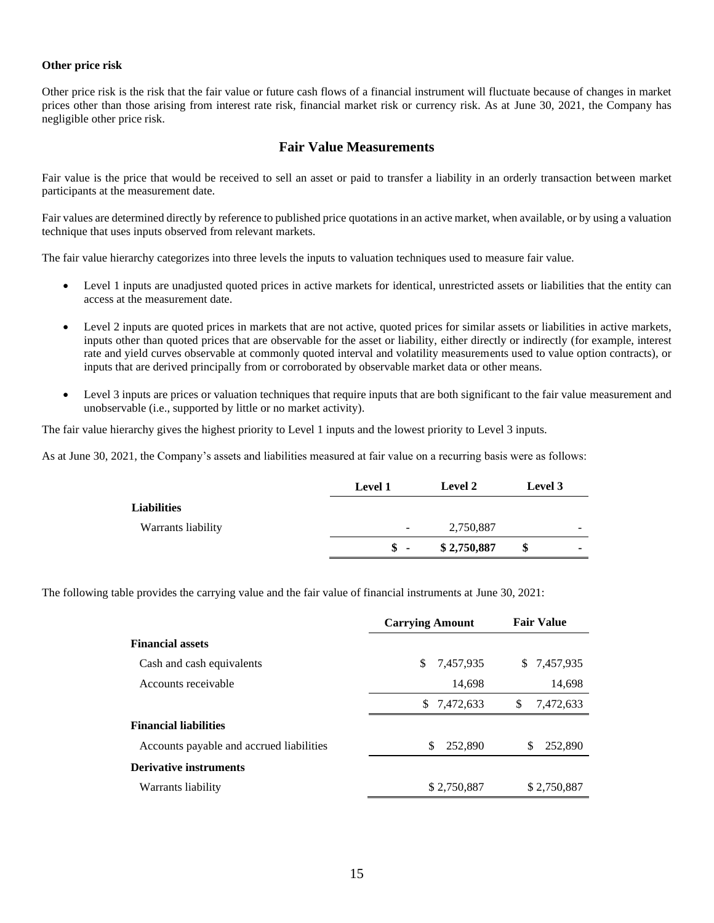### **Other price risk**

Other price risk is the risk that the fair value or future cash flows of a financial instrument will fluctuate because of changes in market prices other than those arising from interest rate risk, financial market risk or currency risk. As at June 30, 2021, the Company has negligible other price risk.

# **Fair Value Measurements**

Fair value is the price that would be received to sell an asset or paid to transfer a liability in an orderly transaction between market participants at the measurement date.

Fair values are determined directly by reference to published price quotations in an active market, when available, or by using a valuation technique that uses inputs observed from relevant markets.

The fair value hierarchy categorizes into three levels the inputs to valuation techniques used to measure fair value.

- Level 1 inputs are unadjusted quoted prices in active markets for identical, unrestricted assets or liabilities that the entity can access at the measurement date.
- Level 2 inputs are quoted prices in markets that are not active, quoted prices for similar assets or liabilities in active markets, inputs other than quoted prices that are observable for the asset or liability, either directly or indirectly (for example, interest rate and yield curves observable at commonly quoted interval and volatility measurements used to value option contracts), or inputs that are derived principally from or corroborated by observable market data or other means.
- Level 3 inputs are prices or valuation techniques that require inputs that are both significant to the fair value measurement and unobservable (i.e., supported by little or no market activity).

The fair value hierarchy gives the highest priority to Level 1 inputs and the lowest priority to Level 3 inputs.

As at June 30, 2021, the Company's assets and liabilities measured at fair value on a recurring basis were as follows:

|                    | <b>Level 1</b>           | <b>Level 2</b> | Level 3 |   |
|--------------------|--------------------------|----------------|---------|---|
| <b>Liabilities</b> |                          |                |         |   |
| Warrants liability | $\overline{\phantom{a}}$ | 2,750,887      |         | - |
|                    | $\mathbf{s}$ -           | \$2,750,887    |         | - |

The following table provides the carrying value and the fair value of financial instruments at June 30, 2021:

|                                          | <b>Carrying Amount</b> | <b>Fair Value</b> |
|------------------------------------------|------------------------|-------------------|
| <b>Financial assets</b>                  |                        |                   |
| Cash and cash equivalents                | S.<br>7,457,935        | \$ 7,457,935      |
| Accounts receivable                      | 14,698                 | 14,698            |
|                                          | 7,472,633<br>S.        | \$<br>7,472,633   |
| <b>Financial liabilities</b>             |                        |                   |
| Accounts payable and accrued liabilities | \$<br>252,890          | 252,890<br>S      |
| <b>Derivative instruments</b>            |                        |                   |
| Warrants liability                       | \$2,750,887            | \$2,750,887       |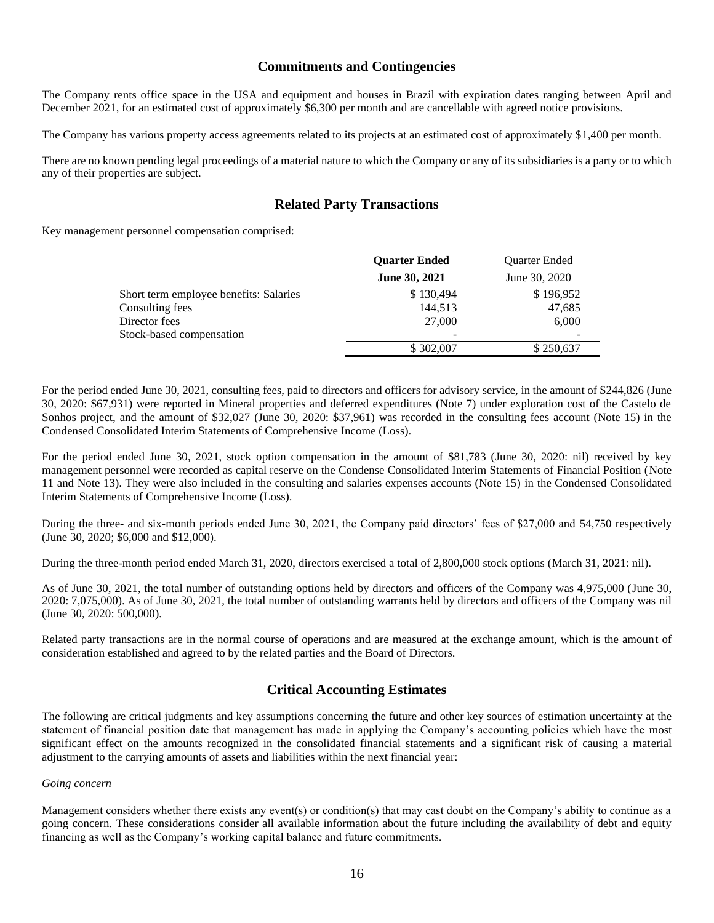# **Commitments and Contingencies**

The Company rents office space in the USA and equipment and houses in Brazil with expiration dates ranging between April and December 2021, for an estimated cost of approximately \$6,300 per month and are cancellable with agreed notice provisions.

The Company has various property access agreements related to its projects at an estimated cost of approximately \$1,400 per month.

There are no known pending legal proceedings of a material nature to which the Company or any of its subsidiaries is a party or to which any of their properties are subject.

# **Related Party Transactions**

Key management personnel compensation comprised:

|                      | Quarter Ended        |
|----------------------|----------------------|
| <b>June 30, 2021</b> | June 30, 2020        |
| \$130,494            | \$196,952            |
| 144,513              | 47,685               |
| 27,000               | 6,000                |
|                      |                      |
| \$302,007            | \$250,637            |
|                      | <b>Quarter Ended</b> |

For the period ended June 30, 2021, consulting fees, paid to directors and officers for advisory service, in the amount of \$244,826 (June 30, 2020: \$67,931) were reported in Mineral properties and deferred expenditures (Note 7) under exploration cost of the Castelo de Sonhos project, and the amount of \$32,027 (June 30, 2020: \$37,961) was recorded in the consulting fees account (Note 15) in the Condensed Consolidated Interim Statements of Comprehensive Income (Loss).

For the period ended June 30, 2021, stock option compensation in the amount of \$81,783 (June 30, 2020: nil) received by key management personnel were recorded as capital reserve on the Condense Consolidated Interim Statements of Financial Position (Note 11 and Note 13). They were also included in the consulting and salaries expenses accounts (Note 15) in the Condensed Consolidated Interim Statements of Comprehensive Income (Loss).

During the three- and six-month periods ended June 30, 2021, the Company paid directors' fees of \$27,000 and 54,750 respectively (June 30, 2020; \$6,000 and \$12,000).

During the three-month period ended March 31, 2020, directors exercised a total of 2,800,000 stock options (March 31, 2021: nil).

As of June 30, 2021, the total number of outstanding options held by directors and officers of the Company was 4,975,000 (June 30, 2020: 7,075,000). As of June 30, 2021, the total number of outstanding warrants held by directors and officers of the Company was nil (June 30, 2020: 500,000).

Related party transactions are in the normal course of operations and are measured at the exchange amount, which is the amount of consideration established and agreed to by the related parties and the Board of Directors.

# **Critical Accounting Estimates**

The following are critical judgments and key assumptions concerning the future and other key sources of estimation uncertainty at the statement of financial position date that management has made in applying the Company's accounting policies which have the most significant effect on the amounts recognized in the consolidated financial statements and a significant risk of causing a material adjustment to the carrying amounts of assets and liabilities within the next financial year:

### *Going concern*

Management considers whether there exists any event(s) or condition(s) that may cast doubt on the Company's ability to continue as a going concern. These considerations consider all available information about the future including the availability of debt and equity financing as well as the Company's working capital balance and future commitments.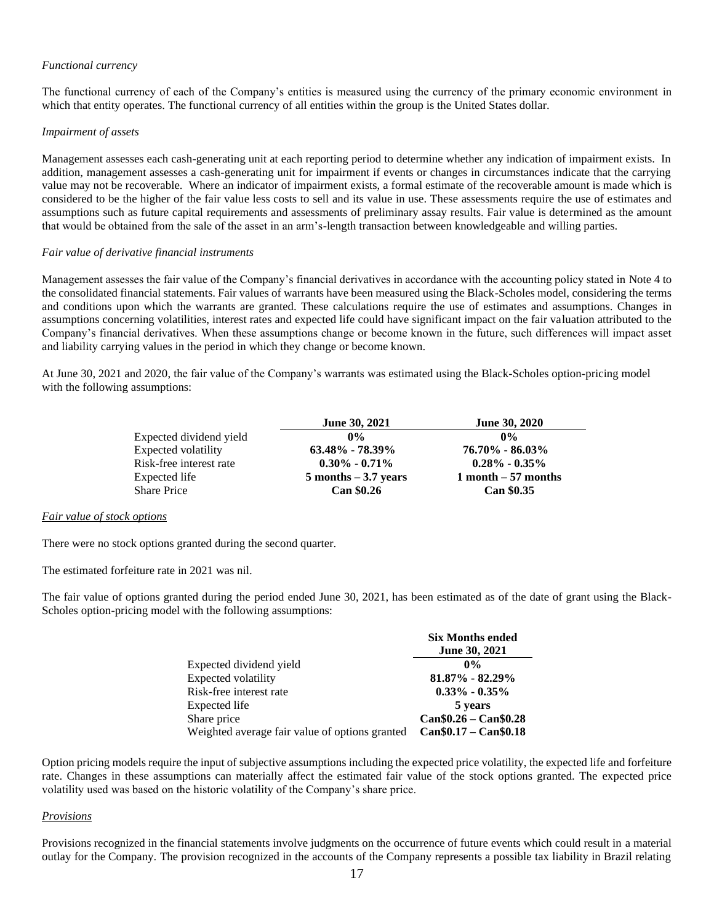### *Functional currency*

The functional currency of each of the Company's entities is measured using the currency of the primary economic environment in which that entity operates. The functional currency of all entities within the group is the United States dollar.

### *Impairment of assets*

Management assesses each cash-generating unit at each reporting period to determine whether any indication of impairment exists. In addition, management assesses a cash-generating unit for impairment if events or changes in circumstances indicate that the carrying value may not be recoverable. Where an indicator of impairment exists, a formal estimate of the recoverable amount is made which is considered to be the higher of the fair value less costs to sell and its value in use. These assessments require the use of estimates and assumptions such as future capital requirements and assessments of preliminary assay results. Fair value is determined as the amount that would be obtained from the sale of the asset in an arm's-length transaction between knowledgeable and willing parties.

### *Fair value of derivative financial instruments*

Management assesses the fair value of the Company's financial derivatives in accordance with the accounting policy stated in Note 4 to the consolidated financial statements. Fair values of warrants have been measured using the Black-Scholes model, considering the terms and conditions upon which the warrants are granted. These calculations require the use of estimates and assumptions. Changes in assumptions concerning volatilities, interest rates and expected life could have significant impact on the fair valuation attributed to the Company's financial derivatives. When these assumptions change or become known in the future, such differences will impact asset and liability carrying values in the period in which they change or become known.

At June 30, 2021 and 2020, the fair value of the Company's warrants was estimated using the Black-Scholes option-pricing model with the following assumptions:

|                         | <b>June 30, 2021</b>    | <b>June 30, 2020</b> |
|-------------------------|-------------------------|----------------------|
| Expected dividend yield | $0\%$                   | $0\%$                |
| Expected volatility     | $63.48\%$ - 78.39%      | $76.70\% - 86.03\%$  |
| Risk-free interest rate | $0.30\% - 0.71\%$       | $0.28\% - 0.35\%$    |
| Expected life           | $5$ months $-3.7$ years | 1 month $-57$ months |
| <b>Share Price</b>      | <b>Can \$0.26</b>       | <b>Can \$0.35</b>    |

### *Fair value of stock options*

There were no stock options granted during the second quarter.

The estimated forfeiture rate in 2021 was nil.

The fair value of options granted during the period ended June 30, 2021, has been estimated as of the date of grant using the Black-Scholes option-pricing model with the following assumptions:

|                                                | <b>Six Months ended</b> |
|------------------------------------------------|-------------------------|
|                                                | <b>June 30, 2021</b>    |
| Expected dividend yield                        | $0\%$                   |
| Expected volatility                            | $81.87\% - 82.29\%$     |
| Risk-free interest rate                        | $0.33\% - 0.35\%$       |
| Expected life                                  | 5 years                 |
| Share price                                    | $Can $0.26 - Can $0.28$ |
| Weighted average fair value of options granted | $Can$0.17 - Can$0.18$   |

Option pricing models require the input of subjective assumptions including the expected price volatility, the expected life and forfeiture rate. Changes in these assumptions can materially affect the estimated fair value of the stock options granted. The expected price volatility used was based on the historic volatility of the Company's share price.

### *Provisions*

Provisions recognized in the financial statements involve judgments on the occurrence of future events which could result in a material outlay for the Company. The provision recognized in the accounts of the Company represents a possible tax liability in Brazil relating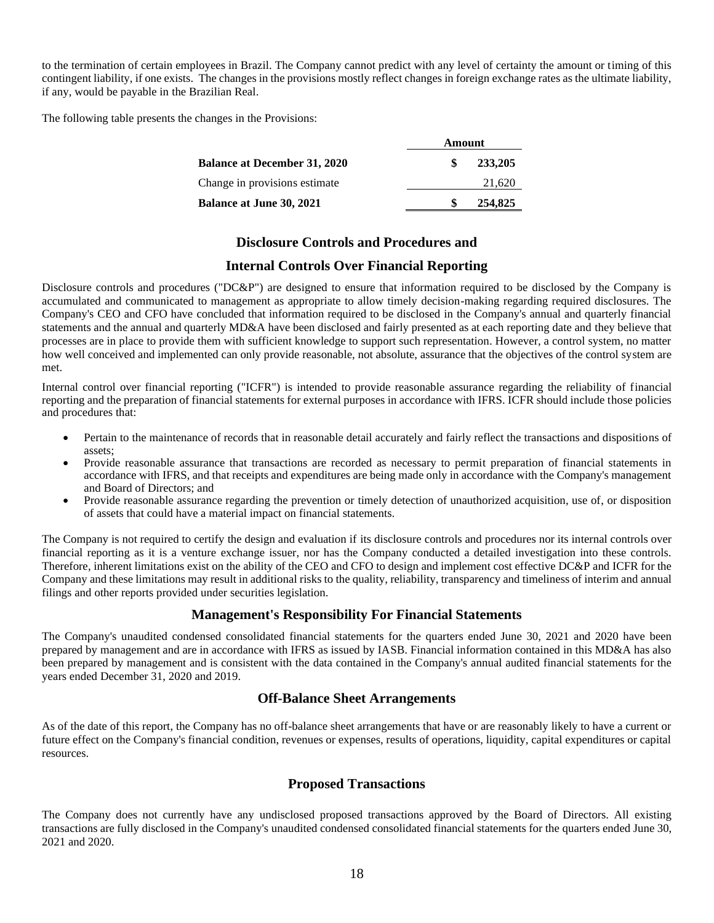to the termination of certain employees in Brazil. The Company cannot predict with any level of certainty the amount or timing of this contingent liability, if one exists. The changes in the provisions mostly reflect changes in foreign exchange rates as the ultimate liability, if any, would be payable in the Brazilian Real.

The following table presents the changes in the Provisions:

|                                     | Amount  |  |
|-------------------------------------|---------|--|
| <b>Balance at December 31, 2020</b> | 233,205 |  |
| Change in provisions estimate       | 21,620  |  |
| <b>Balance at June 30, 2021</b>     | 254,825 |  |

# **Disclosure Controls and Procedures and**

# **Internal Controls Over Financial Reporting**

Disclosure controls and procedures ("DC&P") are designed to ensure that information required to be disclosed by the Company is accumulated and communicated to management as appropriate to allow timely decision-making regarding required disclosures. The Company's CEO and CFO have concluded that information required to be disclosed in the Company's annual and quarterly financial statements and the annual and quarterly MD&A have been disclosed and fairly presented as at each reporting date and they believe that processes are in place to provide them with sufficient knowledge to support such representation. However, a control system, no matter how well conceived and implemented can only provide reasonable, not absolute, assurance that the objectives of the control system are met.

Internal control over financial reporting ("ICFR") is intended to provide reasonable assurance regarding the reliability of financial reporting and the preparation of financial statements for external purposes in accordance with IFRS. ICFR should include those policies and procedures that:

- Pertain to the maintenance of records that in reasonable detail accurately and fairly reflect the transactions and dispositions of assets;
- Provide reasonable assurance that transactions are recorded as necessary to permit preparation of financial statements in accordance with IFRS, and that receipts and expenditures are being made only in accordance with the Company's management and Board of Directors; and
- Provide reasonable assurance regarding the prevention or timely detection of unauthorized acquisition, use of, or disposition of assets that could have a material impact on financial statements.

The Company is not required to certify the design and evaluation if its disclosure controls and procedures nor its internal controls over financial reporting as it is a venture exchange issuer, nor has the Company conducted a detailed investigation into these controls. Therefore, inherent limitations exist on the ability of the CEO and CFO to design and implement cost effective DC&P and ICFR for the Company and these limitations may result in additional risks to the quality, reliability, transparency and timeliness of interim and annual filings and other reports provided under securities legislation.

# **Management's Responsibility For Financial Statements**

The Company's unaudited condensed consolidated financial statements for the quarters ended June 30, 2021 and 2020 have been prepared by management and are in accordance with IFRS as issued by IASB. Financial information contained in this MD&A has also been prepared by management and is consistent with the data contained in the Company's annual audited financial statements for the years ended December 31, 2020 and 2019.

# **Off-Balance Sheet Arrangements**

As of the date of this report, the Company has no off-balance sheet arrangements that have or are reasonably likely to have a current or future effect on the Company's financial condition, revenues or expenses, results of operations, liquidity, capital expenditures or capital resources.

# **Proposed Transactions**

The Company does not currently have any undisclosed proposed transactions approved by the Board of Directors. All existing transactions are fully disclosed in the Company's unaudited condensed consolidated financial statements for the quarters ended June 30, 2021 and 2020.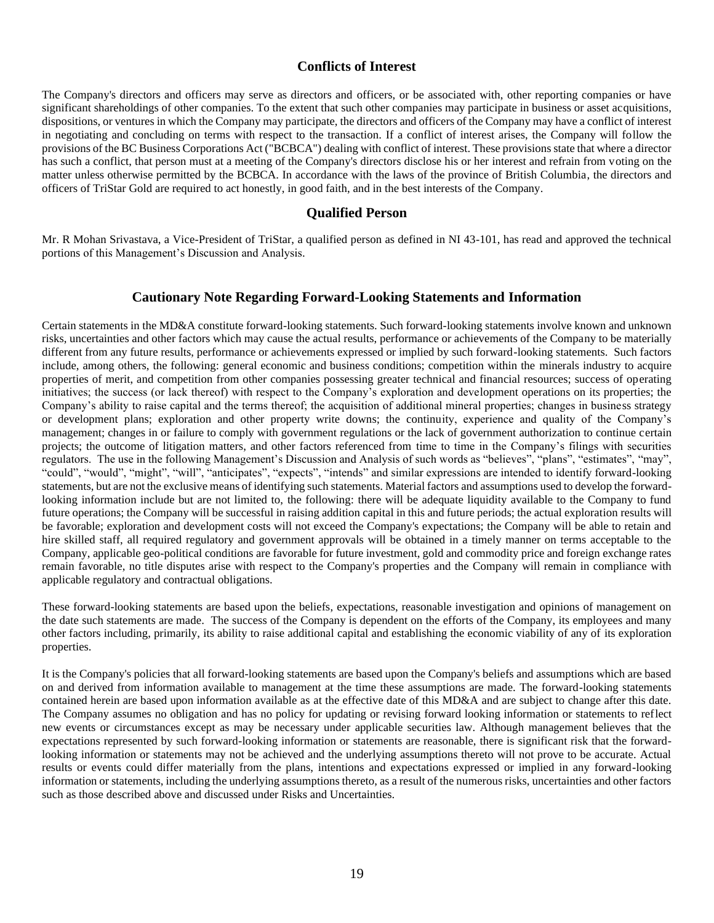# **Conflicts of Interest**

The Company's directors and officers may serve as directors and officers, or be associated with, other reporting companies or have significant shareholdings of other companies. To the extent that such other companies may participate in business or asset acquisitions, dispositions, or ventures in which the Company may participate, the directors and officers of the Company may have a conflict of interest in negotiating and concluding on terms with respect to the transaction. If a conflict of interest arises, the Company will follow the provisions of the BC Business Corporations Act ("BCBCA") dealing with conflict of interest. These provisions state that where a director has such a conflict, that person must at a meeting of the Company's directors disclose his or her interest and refrain from voting on the matter unless otherwise permitted by the BCBCA. In accordance with the laws of the province of British Columbia, the directors and officers of TriStar Gold are required to act honestly, in good faith, and in the best interests of the Company.

### **Qualified Person**

Mr. R Mohan Srivastava, a Vice-President of TriStar, a qualified person as defined in NI 43-101, has read and approved the technical portions of this Management's Discussion and Analysis.

# **Cautionary Note Regarding Forward-Looking Statements and Information**

Certain statements in the MD&A constitute forward-looking statements. Such forward-looking statements involve known and unknown risks, uncertainties and other factors which may cause the actual results, performance or achievements of the Company to be materially different from any future results, performance or achievements expressed or implied by such forward-looking statements. Such factors include, among others, the following: general economic and business conditions; competition within the minerals industry to acquire properties of merit, and competition from other companies possessing greater technical and financial resources; success of operating initiatives; the success (or lack thereof) with respect to the Company's exploration and development operations on its properties; the Company's ability to raise capital and the terms thereof; the acquisition of additional mineral properties; changes in business strategy or development plans; exploration and other property write downs; the continuity, experience and quality of the Company's management; changes in or failure to comply with government regulations or the lack of government authorization to continue certain projects; the outcome of litigation matters, and other factors referenced from time to time in the Company's filings with securities regulators. The use in the following Management's Discussion and Analysis of such words as "believes", "plans", "estimates", "may", "could", "would", "might", "will", "anticipates", "expects", "intends" and similar expressions are intended to identify forward-looking statements, but are not the exclusive means of identifying such statements. Material factors and assumptions used to develop the forwardlooking information include but are not limited to, the following: there will be adequate liquidity available to the Company to fund future operations; the Company will be successful in raising addition capital in this and future periods; the actual exploration results will be favorable; exploration and development costs will not exceed the Company's expectations; the Company will be able to retain and hire skilled staff, all required regulatory and government approvals will be obtained in a timely manner on terms acceptable to the Company, applicable geo-political conditions are favorable for future investment, gold and commodity price and foreign exchange rates remain favorable, no title disputes arise with respect to the Company's properties and the Company will remain in compliance with applicable regulatory and contractual obligations.

These forward-looking statements are based upon the beliefs, expectations, reasonable investigation and opinions of management on the date such statements are made. The success of the Company is dependent on the efforts of the Company, its employees and many other factors including, primarily, its ability to raise additional capital and establishing the economic viability of any of its exploration properties.

It is the Company's policies that all forward-looking statements are based upon the Company's beliefs and assumptions which are based on and derived from information available to management at the time these assumptions are made. The forward-looking statements contained herein are based upon information available as at the effective date of this MD&A and are subject to change after this date. The Company assumes no obligation and has no policy for updating or revising forward looking information or statements to reflect new events or circumstances except as may be necessary under applicable securities law. Although management believes that the expectations represented by such forward-looking information or statements are reasonable, there is significant risk that the forwardlooking information or statements may not be achieved and the underlying assumptions thereto will not prove to be accurate. Actual results or events could differ materially from the plans, intentions and expectations expressed or implied in any forward-looking information or statements, including the underlying assumptions thereto, as a result of the numerous risks, uncertainties and other factors such as those described above and discussed under Risks and Uncertainties.